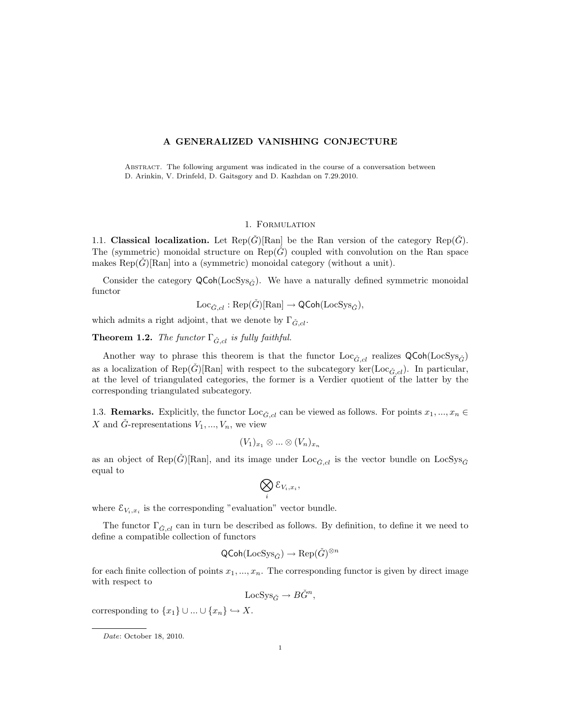## A GENERALIZED VANISHING CONJECTURE

Abstract. The following argument was indicated in the course of a conversation between D. Arinkin, V. Drinfeld, D. Gaitsgory and D. Kazhdan on 7.29.2010.

#### 1. Formulation

1.1. Classical localization. Let  $\text{Rep}(\check{G})[\text{Ran}]$  be the Ran version of the category  $\text{Rep}(\check{G})$ . The (symmetric) monoidal structure on  $\text{Rep}(\tilde{G})$  coupled with convolution on the Ran space makes  $\text{Rep}(G)[\text{Ran}]$  into a (symmetric) monoidal category (without a unit).

Consider the category  $\mathsf{QCoh}(\mathsf{LocSys}_{\tilde{G}})$ . We have a naturally defined symmetric monoidal functor

$$
\mathrm{Loc}_{\check{G},cl}:\mathrm{Rep}(\check{G})[\mathrm{Ran}]\to \mathsf{QCoh}(\mathrm{LocSys}_{\check{G}}),
$$

which admits a right adjoint, that we denote by  $\Gamma_{\check{G},cl}$ .

**Theorem 1.2.** The functor  $\Gamma_{\check{G},cl}$  is fully faithful.

Another way to phrase this theorem is that the functor  $Loc_{\check{G},cl}$  realizes  $QCoh(LocSys_{\check{G}})$ as a localization of Rep( $\check{G}$ )[Ran] with respect to the subcategory ker(Loc<sub> $\check{G}, cl$ </sub>). In particular, at the level of triangulated categories, the former is a Verdier quotient of the latter by the corresponding triangulated subcategory.

1.3. **Remarks.** Explicitly, the functor  $\text{Loc}_{\tilde{G},cl}$  can be viewed as follows. For points  $x_1, ..., x_n \in$ X and G-representations  $V_1, ..., V_n$ , we view

$$
(V_1)_{x_1} \otimes \ldots \otimes (V_n)_{x_n}
$$

as an object of Rep( $\check{G}$ )[Ran], and its image under Loc<sub> $\check{G}$ ,cl is the vector bundle on LocSys<sub> $\check{G}$ </sub></sub> equal to

$$
\bigotimes_i \mathcal{E}_{V_i,x_i},
$$

where  $\mathcal{E}_{V_i,x_i}$  is the corresponding "evaluation" vector bundle.

The functor  $\Gamma_{\check{G},cl}$  can in turn be described as follows. By definition, to define it we need to define a compatible collection of functors

$$
\mathsf{QCoh}(\mathrm{LocSys}_{\check{G}}) \to \mathrm{Rep}(\check{G})^{\otimes n}
$$

for each finite collection of points  $x_1, ..., x_n$ . The corresponding functor is given by direct image with respect to

LocSys<sub> $\check{G} \to B\check{G}^n$ ,</sub>

corresponding to  $\{x_1\} \cup ... \cup \{x_n\} \hookrightarrow X$ .

Date: October 18, 2010.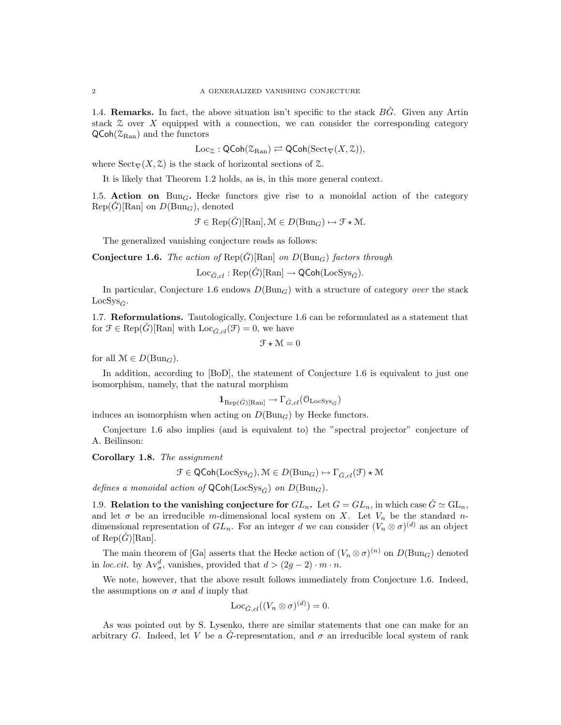1.4. **Remarks.** In fact, the above situation isn't specific to the stack  $\overrightarrow{BG}$ . Given any Artin stack  $\mathcal Z$  over X equipped with a connection, we can consider the corresponding category  $\mathsf{QCoh}(\mathcal{Z}_{\text{Ran}})$  and the functors

 $Loc_{\mathcal{Z}} : \mathsf{QCoh}(\mathcal{Z}_{\mathrm{Ran}}) \rightleftarrows \mathsf{QCoh}(\mathrm{Sect}_{\nabla}(X, \mathcal{Z})),$ 

where  $Sect_{\nabla}(X, \mathcal{Z})$  is the stack of horizontal sections of  $\mathcal{Z}$ .

It is likely that Theorem 1.2 holds, as is, in this more general context.

1.5. Action on Bun<sub>G</sub>. Hecke functors give rise to a monoidal action of the category  $Rep(G)[\text{Ran}]$  on  $D(\text{Bun}_G)$ , denoted

$$
\mathcal{F} \in \text{Rep}(\check{G})[\text{Ran}], \mathcal{M} \in D(\text{Bun}_G) \mapsto \mathcal{F} \star \mathcal{M}.
$$

The generalized vanishing conjecture reads as follows:

**Conjecture 1.6.** The action of  $\text{Rep}(\check{G})[\text{Ran}]$  on  $D(\text{Bun}_G)$  factors through

 $Loc_{\check{G}cl} : \text{Rep}(\check{G})[\text{Ran}] \to \text{QCoh}(\text{LocSys}_{\check{G}}).$ 

In particular, Conjecture 1.6 endows  $D(\text{Bun}_G)$  with a structure of category *over* the stack  $LocSys_{\check{C}}$ .

1.7. Reformulations. Tautologically, Conjecture 1.6 can be reformulated as a statement that for  $\mathfrak{F} \in \text{Rep}(\tilde{G})[\text{Ran}]$  with  $\text{Loc}_{\tilde{G},cl}(\mathfrak{F})=0$ , we have

$$
\mathcal{F} \star \mathcal{M} = 0
$$

for all  $\mathcal{M} \in D(\text{Bun}_G)$ .

In addition, according to [BoD], the statement of Conjecture 1.6 is equivalent to just one isomorphism, namely, that the natural morphism

$$
\mathbf{1}_{\text{Rep}(\check{G})[\text{Ran}]} \to \Gamma_{\check{G},cl}(\mathcal{O}_{\text{LocSys}_{\check{G}}})
$$

induces an isomorphism when acting on  $D(\text{Bun}_G)$  by Hecke functors.

Conjecture 1.6 also implies (and is equivalent to) the "spectral projector" conjecture of A. Beilinson:

Corollary 1.8. The assignment

$$
\mathcal{F} \in \mathsf{QCoh}(\mathrm{LocSys}_{\check{G}}), \mathcal{M} \in D(\mathrm{Bun}_G) \mapsto \Gamma_{\check{G},cl}(\mathcal{F}) \star \mathcal{M}
$$

defines a monoidal action of  $\mathsf{QCoh}(\mathrm{LocSys}_{\check{G}})$  on  $D(\mathrm{Bun}_G)$ .

1.9. Relation to the vanishing conjecture for  $GL_n$ . Let  $G = GL_n$ , in which case  $\check{G} \simeq GL_n$ , and let  $\sigma$  be an irreducible m-dimensional local system on X. Let  $V_n$  be the standard ndimensional representation of  $GL_n$ . For an integer d we can consider  $(V_n \otimes \sigma)^{(d)}$  as an object of  $\text{Rep}(\hat{G})[\text{Ran}].$ 

The main theorem of [Ga] asserts that the Hecke action of  $(V_n \otimes \sigma)^{(n)}$  on  $D(\text{Bun}_G)$  denoted in loc.cit. by  $Av^d_{\sigma}$ , vanishes, provided that  $d > (2g - 2) \cdot m \cdot n$ .

We note, however, that the above result follows immediately from Conjecture 1.6. Indeed, the assumptions on  $\sigma$  and d imply that

$$
\mathrm{Loc}_{\check{G},cl}((V_n \otimes \sigma)^{(d)}) = 0.
$$

As was pointed out by S. Lysenko, there are similar statements that one can make for an arbitrary G. Indeed, let V be a  $\tilde{G}$ -representation, and  $\sigma$  an irreducible local system of rank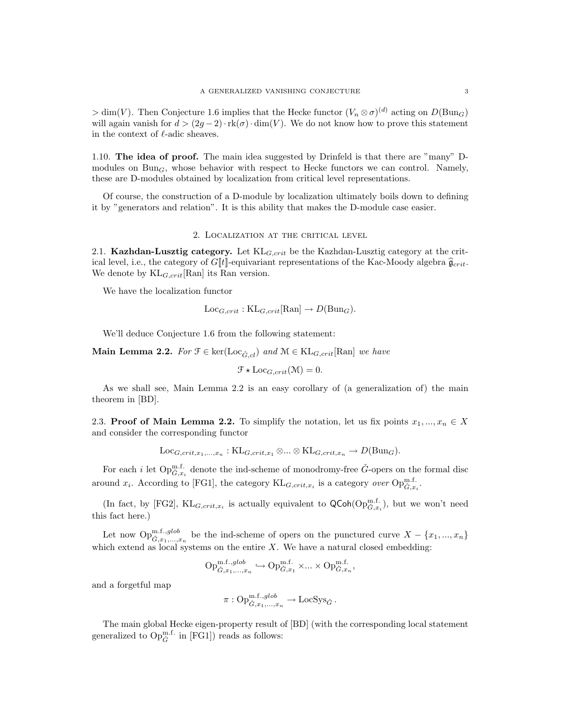$> dim(V)$ . Then Conjecture 1.6 implies that the Hecke functor  $(V_n \otimes \sigma)^{(d)}$  acting on  $D(Bun_G)$ will again vanish for  $d > (2g-2) \cdot \text{rk}(\sigma) \cdot \dim(V)$ . We do not know how to prove this statement in the context of  $\ell$ -adic sheaves.

1.10. The idea of proof. The main idea suggested by Drinfeld is that there are "many" Dmodules on  $Bun<sub>G</sub>$ , whose behavior with respect to Hecke functors we can control. Namely, these are D-modules obtained by localization from critical level representations.

Of course, the construction of a D-module by localization ultimately boils down to defining it by "generators and relation". It is this ability that makes the D-module case easier.

### 2. Localization at the critical level

2.1. Kazhdan-Lusztig category. Let  $KL_{G,crit}$  be the Kazhdan-Lusztig category at the critical level, i.e., the category of  $G[[t]]$ -equivariant representations of the Kac-Moody algebra  $\hat{g}_{crit}$ . We denote by  $KL_{G,crit}[\text{Ran}]$  its Ran version.

We have the localization functor

$$
Loc_{G,crit} : KL_{G,crit}[Ran] \to D(Bun_G).
$$

We'll deduce Conjecture 1.6 from the following statement:

**Main Lemma 2.2.** For  $\mathcal{F} \in \text{ker}(\text{Loc}_{\tilde{G},cl})$  and  $\mathcal{M} \in \text{KL}_{G,crit}[\text{Ran}]$  we have

$$
\mathcal{F} \star \text{Loc}_{G,crit}(\mathcal{M}) = 0.
$$

As we shall see, Main Lemma 2.2 is an easy corollary of (a generalization of) the main theorem in [BD].

2.3. Proof of Main Lemma 2.2. To simplify the notation, let us fix points  $x_1, ..., x_n \in X$ and consider the corresponding functor

$$
Loc_{G,crit,x_1,\ldots,x_n} : KL_{G,crit,x_1} \otimes \ldots \otimes KL_{G,crit,x_n} \to D(Bun_G).
$$

For each *i* let  $Op_{\tilde{G},x_i}^{\text{m.f.}}$  denote the ind-scheme of monodromy-free  $\check{G}$ -opers on the formal disc around  $x_i$ . According to [FG1], the category  $KL_{G,crit,x_i}$  is a category *over*  $Op_{\check{G},x_i}^{\text{n.f.}}$ .

(In fact, by [FG2],  $KL_{G,crit,x_i}$  is actually equivalent to  $\mathsf{QCoh}(\mathrm{Op}_{\check{G},x_i}^{\mathrm{m.f.}})$ , but we won't need this fact here.)

Let now  $\text{Op}_{\check{G},x_1,...,x_n}^{\text{m.f.,glob}}$  be the ind-scheme of opers on the punctured curve  $X - \{x_1,...,x_n\}$ which extend as local systems on the entire  $X$ . We have a natural closed embedding:

$$
\textup{Op}_{\check{G},x_1,...,x_n}^{\textup{m.f.},glob}\hookrightarrow \textup{Op}_{\check{G},x_1}^{\textup{m.f.}}\times...\times \textup{Op}_{\check{G},x_n}^{\textup{m.f.}},
$$

and a forgetful map

$$
\pi: \mathrm{Op}^{\mathrm{m.f.},glob}_{\check{G},x_1,\ldots,x_n} \to \mathrm{LocSys}_{\check{G}}.
$$

The main global Hecke eigen-property result of [BD] (with the corresponding local statement generalized to  $Op_{\check G}^{\text{m.f.}}$  in [FG1]) reads as follows: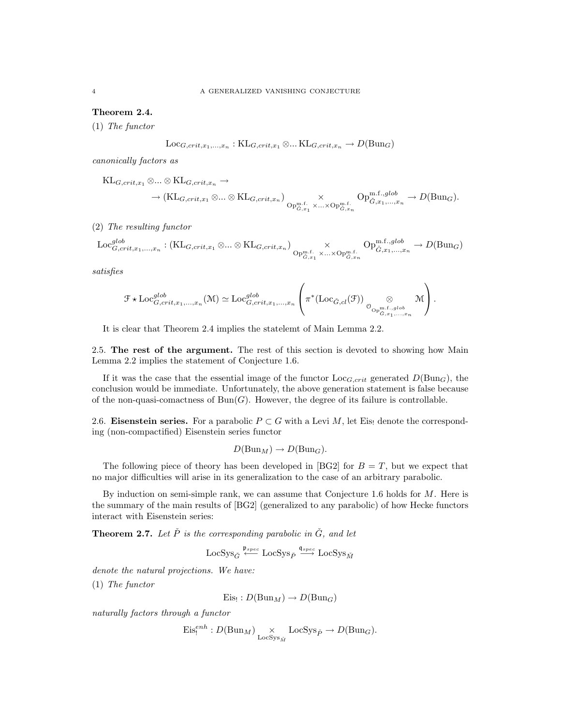Theorem 2.4.

(1) The functor

$$
Loc_{G,crit,x_1,...,x_n} : KL_{G,crit,x_1} \otimes ... KL_{G,crit,x_n} \to D(Bun_G)
$$

canonically factors as

 $KL_{G,crit,x_1} \otimes ... \otimes KL_{G,crit,x_n} \rightarrow$  $\rightarrow (\mathrm{KL}_{G,crit,x_1} \otimes ... \otimes \mathrm{KL}_{G,crit,x_n}) \underset{\mathrm{Op}_{G,x_1}^{\mathrm{m.f.}} \times ... \times \mathrm{Op}_{G,x_n}^{\mathrm{m.f.}}}{\times}$  $\mathrm{Op}^{\mathrm{m.f.},glob}_{\check{G},x_1,\ldots,x_n} \to D(\mathrm{Bun}_G).$ 

(2) The resulting functor

$$
\text{Loc}_{G,crit,x_1,\ldots,x_n}^{glob} : (\text{KL}_{G,crit,x_1} \otimes \ldots \otimes \text{KL}_{G,crit,x_n}) \underset{\text{Op}_{\tilde{G},x_1}^{\text{m.f.}} \times \ldots \times \text{Op}_{\tilde{G},x_n}^{\text{m.f.}}, \text{Op}_{\tilde{G},x_1,\ldots,x_n}^{\text{m.f.},glob} \rightarrow D(\text{Bun}_G)
$$

satisfies

$$
\mathcal{F} \star \text{Loc}_{G,crit,x_1,\ldots,x_n}^{glob}(\mathcal{M}) \simeq \text{Loc}_{G,crit,x_1,\ldots,x_n}^{glob} \left( \pi^*(\text{Loc}_{\check{G},cl}(\mathcal{F})) \underset{\mathcal{O}_{\text{Op}_{\check{G},x_1,\ldots,x_n}}^{\text{on } f, glob}}{\otimes} \mathcal{M} \right).
$$

It is clear that Theorem 2.4 implies the statelemt of Main Lemma 2.2.

2.5. The rest of the argument. The rest of this section is devoted to showing how Main Lemma 2.2 implies the statement of Conjecture 1.6.

If it was the case that the essential image of the functor  $\text{Loc}_{G,crit}$  generated  $D(\text{Bun}_G)$ , the conclusion would be immediate. Unfortunately, the above generation statement is false because of the non-quasi-comactness of  $Bun(G)$ . However, the degree of its failure is controllable.

2.6. Eisenstein series. For a parabolic  $P \subset G$  with a Levi M, let Eisen denote the corresponding (non-compactified) Eisenstein series functor

$$
D(\mathrm{Bun}_M) \to D(\mathrm{Bun}_G).
$$

The following piece of theory has been developed in [BG2] for  $B = T$ , but we expect that no major difficulties will arise in its generalization to the case of an arbitrary parabolic.

By induction on semi-simple rank, we can assume that Conjecture 1.6 holds for  $M$ . Here is the summary of the main results of [BG2] (generalized to any parabolic) of how Hecke functors interact with Eisenstein series:

**Theorem 2.7.** Let  $\check{P}$  is the corresponding parabolic in  $\check{G}$ , and let

 ${\rm LocSys}_{\check G} \stackrel{\mathfrak{p}_{spec}}{\longleftarrow} {\rm LocSys}_{\check P} \stackrel{\mathfrak{q}_{spec}}{\longrightarrow} {\rm LocSys}_{\check M}$ 

denote the natural projections. We have:

(1) The functor

 $Eis_! : D(Bun_M) \to D(Bun_G)$ 

naturally factors through a functor

$$
\mathrm{Eis}_{!}^{enh}: D(\mathrm{Bun}_M) \underset{\mathrm{LocSys}_{\tilde{M}}}{\times} \mathrm{LocSys}_{\tilde{P}} \to D(\mathrm{Bun}_G).
$$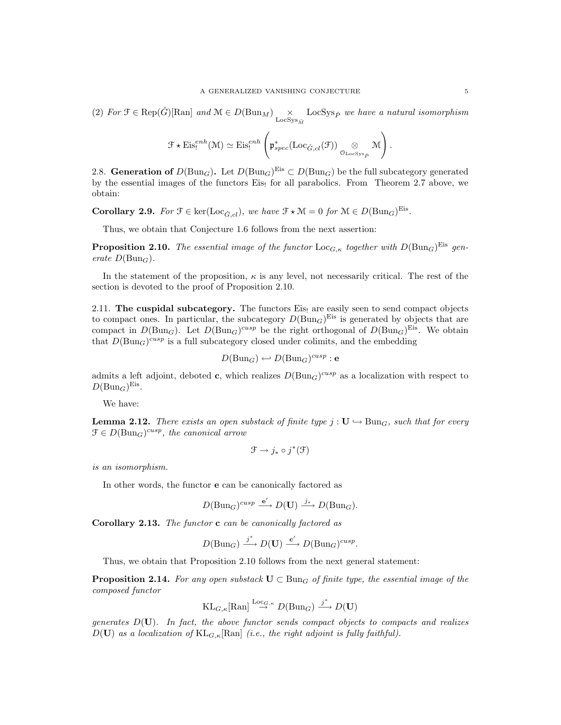(2) For  $\mathcal{F} \in \text{Rep}(\check{G})[\text{Ran}]$  and  $\mathcal{M} \in D(\text{Bun}_M) \underset{\text{LocSys}_{\check{M}}}{\times} \text{LocSys}_{\check{P}}$  we have a natural isomorphism

$$
\mathcal{F} \star \mathrm{Eis}_{!}^{enh}(\mathcal{M}) \simeq \mathrm{Eis}_{!}^{enh}\left(\mathfrak{p}_{spec}^{*}(\mathrm{Loc}_{\check{G},cl}(\mathcal{F})) \underset{\mathcal{O}_{\mathrm{LocSys}_{\check{P}}}}{\otimes} \mathcal{M}\right).
$$

2.8. Generation of  $D(\text{Bun}_G)$ . Let  $D(\text{Bun}_G)^{\text{Eis}} \subset D(\text{Bun}_G)$  be the full subcategory generated by the essential images of the functors Eis, for all parabolics. From Theorem 2.7 above, we obtain:

**Corollary 2.9.** For  $\mathcal{F} \in \text{ker}(\text{Loc}_{\check{G},cl}),$  we have  $\mathcal{F} \star \mathcal{M} = 0$  for  $\mathcal{M} \in D(\text{Bun}_G)^{\text{Eis}}$ .

Thus, we obtain that Conjecture 1.6 follows from the next assertion:

**Proposition 2.10.** The essential image of the functor  $\text{Loc}_{G,\kappa}$  together with  $D(\text{Bun}_G)^{\text{Eis}}$  generate  $D(\text{Bun}_G)$ .

In the statement of the proposition,  $\kappa$  is any level, not necessarily critical. The rest of the section is devoted to the proof of Proposition 2.10.

2.11. The cuspidal subcategory. The functors Eist are easily seen to send compact objects to compact ones. In particular, the subcategory  $D(\text{Bun}_G)^{\text{Eis}}$  is generated by objects that are compact in  $D(\text{Bun}_G)$ . Let  $D(\text{Bun}_G)^{cusp}$  be the right orthogonal of  $D(\text{Bun}_G)^{Eis}$ . We obtain that  $D(Bun_G)^{cusp}$  is a full subcategory closed under colimits, and the embedding

$$
D(\mathrm{Bun}_G) \hookleftarrow D(\mathrm{Bun}_G)^{cusp} : e
$$

admits a left adjoint, deboted **c**, which realizes  $D(\text{Bun}_G)^{cusp}$  as a localization with respect to  $D(\text{Bun}_G)^{\text{Eis}}$ .

We have:

**Lemma 2.12.** There exists an open substack of finite type  $j : U \rightarrow Bun_G$ , such that for every  $\mathcal{F} \in D(\text{Bun}_G)^{cusp}$ , the canonical arrow

$$
\mathfrak{F} \to j_* \circ j^*(\mathfrak{F})
$$

is an isomorphism.

In other words, the functor e can be canonically factored as

$$
D(\text{Bun}_G)^{cusp} \xrightarrow{\mathbf{e}'} D(\mathbf{U}) \xrightarrow{j_*} D(\text{Bun}_G).
$$

Corollary 2.13. The functor c can be canonically factored as

$$
D(Bun_G) \xrightarrow{j^*} D(U) \xrightarrow{c'} D(Bun_G)^{cusp}.
$$

Thus, we obtain that Proposition 2.10 follows from the next general statement:

**Proposition 2.14.** For any open substack  $U \subset \text{Bun}_G$  of finite type, the essential image of the composed functor

$$
\text{KL}_{G,\kappa}[\text{Ran}] \stackrel{\text{Loc}_{G,\kappa}}{\to} D(\text{Bun}_G) \stackrel{j^*}{\to} D(\mathbf{U})
$$

generates  $D(U)$ . In fact, the above functor sends compact objects to compacts and realizes  $D(\mathbf{U})$  as a localization of  $KL_{G,\kappa}[\text{Ran}]$  (i.e., the right adjoint is fully faithful).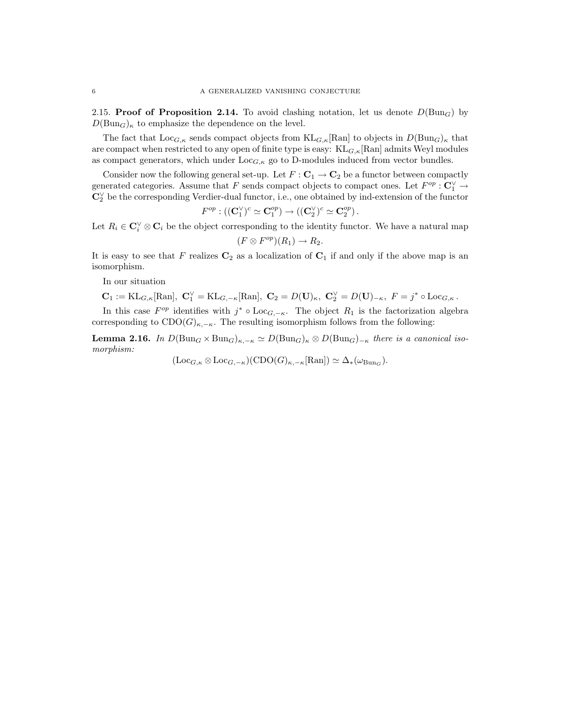2.15. Proof of Proposition 2.14. To avoid clashing notation, let us denote  $D(\text{Bun}_G)$  by  $D(\text{Bun}_G)_{\kappa}$  to emphasize the dependence on the level.

The fact that  $\text{Loc}_{G,\kappa}$  sends compact objects from  $\text{KL}_{G,\kappa}[\text{Ran}]$  to objects in  $D(\text{Bun}_G)_{\kappa}$  that are compact when restricted to any open of finite type is easy:  $KL_{G,\kappa}[\text{Ran}]$  admits Weyl modules as compact generators, which under  $\text{Loc}_{G,\kappa}$  go to D-modules induced from vector bundles.

Consider now the following general set-up. Let  $F: \mathbf{C}_1 \to \mathbf{C}_2$  be a functor between compactly generated categories. Assume that F sends compact objects to compact ones. Let  $F^{op}: \mathbb{C}_1^{\vee} \to$ C<sup>∨</sup> <sup>2</sup> be the corresponding Verdier-dual functor, i.e., one obtained by ind-extension of the functor

$$
F^{op} : ((\mathbf{C}_1^{\vee})^c \simeq \mathbf{C}_1^{op}) \to ((\mathbf{C}_2^{\vee})^c \simeq \mathbf{C}_2^{op}).
$$

Let  $R_i \in \mathbb{C}_i^{\vee} \otimes \mathbb{C}_i$  be the object corresponding to the identity functor. We have a natural map

$$
(F \otimes F^{op})(R_1) \to R_2.
$$

It is easy to see that F realizes  $C_2$  as a localization of  $C_1$  if and only if the above map is an isomorphism.

In our situation

$$
\mathbf{C}_1:=\mathrm{KL}_{G,\kappa}[\mathrm{Ran}],\ \mathbf{C}_1^\vee=\mathrm{KL}_{G,-\kappa}[\mathrm{Ran}],\ \mathbf{C}_2=D(\mathbf{U})_\kappa,\ \mathbf{C}_2^\vee=D(\mathbf{U})_{-\kappa},\ F=j^*\circ \mathrm{Loc}_{G,\kappa}\,.
$$

In this case  $F^{op}$  identifies with  $j^* \circ Loc_{G, -\kappa}$ . The object  $R_1$  is the factorization algebra corresponding to  $\text{CDO}(G)_{\kappa,-\kappa}$ . The resulting isomorphism follows from the following:

**Lemma 2.16.** In  $D(\text{Bun}_G \times \text{Bun}_G)_{\kappa,-\kappa} \simeq D(\text{Bun}_G)_{\kappa} \otimes D(\text{Bun}_G)_{-\kappa}$  there is a canonical isomorphism:

 $(\text{Loc}_{G,\kappa} \otimes \text{Loc}_{G,-\kappa})(\text{CDO}(G)_{\kappa,-\kappa}[\text{Ran}]) \simeq \Delta_*(\omega_{\text{Bun}_G}).$